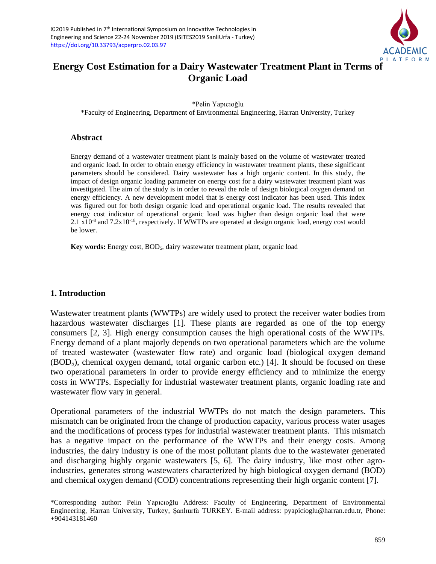

# **Energy Cost Estimation for a Dairy Wastewater Treatment Plant in Terms of Organic Load**

\*Pelin Yapıcıoğlu

\*Faculty of Engineering, Department of Environmental Engineering, Harran University, Turkey

### **Abstract**

Energy demand of a wastewater treatment plant is mainly based on the volume of wastewater treated and organic load. In order to obtain energy efficiency in wastewater treatment plants, these significant parameters should be considered. Dairy wastewater has a high organic content. In this study, the impact of design organic loading parameter on energy cost for a dairy wastewater treatment plant was investigated. The aim of the study is in order to reveal the role of design biological oxygen demand on energy efficiency. A new development model that is energy cost indicator has been used. This index was figured out for both design organic load and operational organic load. The results revealed that energy cost indicator of operational organic load was higher than design organic load that were 2.1  $x10^{-8}$  and 7.2x10<sup>-18</sup>, respectively. If WWTPs are operated at design organic load, energy cost would be lower.

**Key words:** Energy cost, BOD<sub>5</sub>, dairy wastewater treatment plant, organic load

## **1. Introduction**

Wastewater treatment plants (WWTPs) are widely used to protect the receiver water bodies from hazardous wastewater discharges [1]. These plants are regarded as one of the top energy consumers [2, 3]. High energy consumption causes the high operational costs of the WWTPs. Energy demand of a plant majorly depends on two operational parameters which are the volume of treated wastewater (wastewater flow rate) and organic load (biological oxygen demand (BOD5), chemical oxygen demand, total organic carbon etc.) [4]. It should be focused on these two operational parameters in order to provide energy efficiency and to minimize the energy costs in WWTPs. Especially for industrial wastewater treatment plants, organic loading rate and wastewater flow vary in general.

Operational parameters of the industrial WWTPs do not match the design parameters. This mismatch can be originated from the change of production capacity, various process water usages and the modifications of process types for industrial wastewater treatment plants. This mismatch has a negative impact on the performance of the WWTPs and their energy costs. Among industries, the dairy industry is one of the most pollutant plants due to the wastewater generated and discharging highly organic wastewaters [5, 6]. The dairy industry, like most other agroindustries, generates strong wastewaters characterized by high biological oxygen demand (BOD) and chemical oxygen demand (COD) concentrations representing their high organic content [7].

<sup>\*</sup>Corresponding author: Pelin Yapıcıoğlu Address: Faculty of Engineering, Department of Environmental Engineering, Harran University, Turkey, Şanlıurfa TURKEY. E-mail address: pyapicioglu@harran.edu.tr, Phone: +904143181460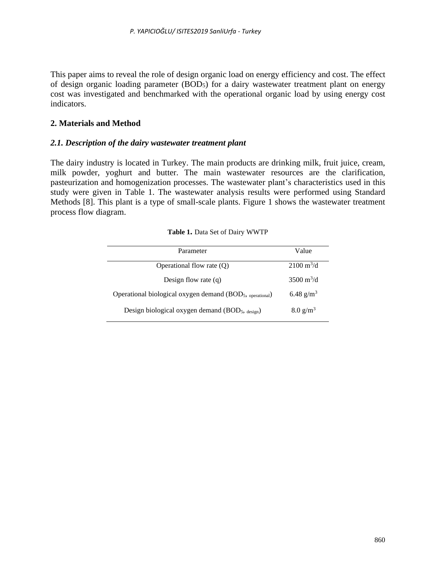This paper aims to reveal the role of design organic load on energy efficiency and cost. The effect of design organic loading parameter  $(BOD<sub>5</sub>)$  for a dairy wastewater treatment plant on energy cost was investigated and benchmarked with the operational organic load by using energy cost indicators.

## **2. Materials and Method**

## *2.1. Description of the dairy wastewater treatment plant*

The dairy industry is located in Turkey. The main products are drinking milk, fruit juice, cream, milk powder, yoghurt and butter. The main wastewater resources are the clarification, pasteurization and homogenization processes. The wastewater plant's characteristics used in this study were given in Table 1. The wastewater analysis results were performed using Standard Methods [8]. This plant is a type of small-scale plants. Figure 1 shows the wastewater treatment process flow diagram.

| Parameter                                                                         | Value                       |
|-----------------------------------------------------------------------------------|-----------------------------|
| Operational flow rate $(Q)$                                                       | $2100 \text{ m}^3/\text{d}$ |
| Design flow rate $(q)$                                                            | 3500 $m^3/d$                |
| Operational biological oxygen demand (BOD <sub>5</sub> , <sub>operational</sub> ) | 6.48 $g/m^3$                |
| Design biological oxygen demand (BOD <sub>5</sub> , design)                       | $8.0 \text{ g/m}^3$         |

| Table 1. Data Set of Dairy WWTP |  |  |  |  |  |
|---------------------------------|--|--|--|--|--|
|---------------------------------|--|--|--|--|--|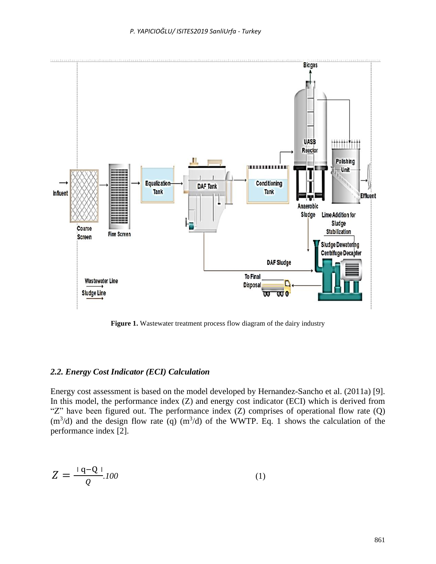

Figure 1. Wastewater treatment process flow diagram of the dairy industry

#### *2.2. Energy Cost Indicator (ECI) Calculation*

Energy cost assessment is based on the model developed by Hernandez-Sancho et al. (2011a) [9]. In this model, the performance index (Z) and energy cost indicator (ECI) which is derived from "Z" have been figured out. The performance index (Z) comprises of operational flow rate (Q)  $(m<sup>3</sup>/d)$  and the design flow rate (q)  $(m<sup>3</sup>/d)$  of the WWTP. Eq. 1 shows the calculation of the performance index [2].

$$
Z = \frac{1 \, \text{q} - \text{Q} \, \text{l}}{Q} \tag{1}
$$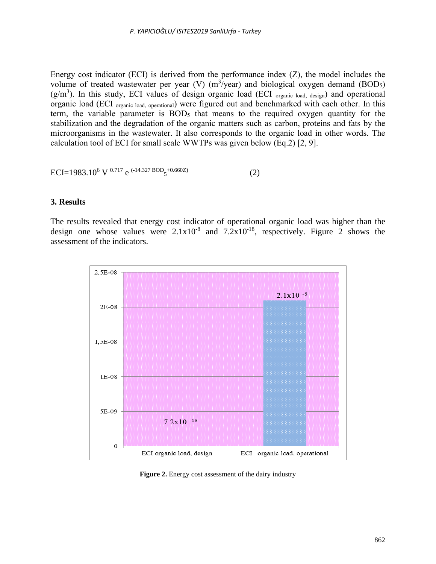Energy cost indicator (ECI) is derived from the performance index (Z), the model includes the volume of treated wastewater per year (V)  $(m^3$ /year) and biological oxygen demand (BOD<sub>5</sub>)  $(g/m<sup>3</sup>)$ . In this study, ECI values of design organic load (ECI organic load, design) and operational organic load (ECI organic load, operational) were figured out and benchmarked with each other. In this term, the variable parameter is  $BOD<sub>5</sub>$  that means to the required oxygen quantity for the stabilization and the degradation of the organic matters such as carbon, proteins and fats by the microorganisms in the wastewater. It also corresponds to the organic load in other words. The calculation tool of ECI for small scale WWTPs was given below (Eq.2) [2, 9].

$$
ECI = 1983.10^6 \text{ V }^{0.717} \text{ e }^{(-14.327 \text{ BOD}_5 + 0.660 \text{Z})} \tag{2}
$$

#### **3. Results**

The results revealed that energy cost indicator of operational organic load was higher than the design one whose values were  $2.1x10^{-8}$  and  $7.2x10^{-18}$ , respectively. Figure 2 shows the assessment of the indicators.



**Figure 2.** Energy cost assessment of the dairy industry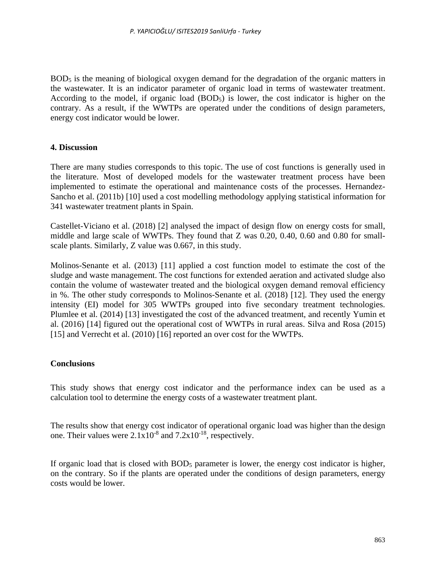BOD<sub>5</sub> is the meaning of biological oxygen demand for the degradation of the organic matters in the wastewater. It is an indicator parameter of organic load in terms of wastewater treatment. According to the model, if organic load  $(BOD<sub>5</sub>)$  is lower, the cost indicator is higher on the contrary. As a result, if the WWTPs are operated under the conditions of design parameters, energy cost indicator would be lower.

## **4. Discussion**

There are many studies corresponds to this topic. The use of cost functions is generally used in the literature. Most of developed models for the wastewater treatment process have been implemented to estimate the operational and maintenance costs of the processes. Hernandez-Sancho et al. (2011b) [10] used a cost modelling methodology applying statistical information for 341 wastewater treatment plants in Spain.

Castellet-Viciano et al. (2018) [2] analysed the impact of design flow on energy costs for small, middle and large scale of WWTPs. They found that Z was 0.20, 0.40, 0.60 and 0.80 for smallscale plants. Similarly, Z value was 0.667, in this study.

Molinos-Senante et al. (2013) [11] applied a cost function model to estimate the cost of the sludge and waste management. The cost functions for extended aeration and activated sludge also contain the volume of wastewater treated and the biological oxygen demand removal efficiency in %. The other study corresponds to Molinos-Senante et al. (2018) [12]. They used the energy intensity (EI) model for 305 WWTPs grouped into five secondary treatment technologies. Plumlee et al. (2014) [13] investigated the cost of the advanced treatment, and recently Yumin et al. (2016) [14] figured out the operational cost of WWTPs in rural areas. Silva and Rosa (2015) [15] and Verrecht et al. (2010) [16] reported an over cost for the WWTPs.

## **Conclusions**

This study shows that energy cost indicator and the performance index can be used as a calculation tool to determine the energy costs of a wastewater treatment plant.

The results show that energy cost indicator of operational organic load was higher than the design one. Their values were  $2.1 \times 10^{-8}$  and  $7.2 \times 10^{-18}$ , respectively.

If organic load that is closed with  $BOD<sub>5</sub>$  parameter is lower, the energy cost indicator is higher, on the contrary. So if the plants are operated under the conditions of design parameters, energy costs would be lower.